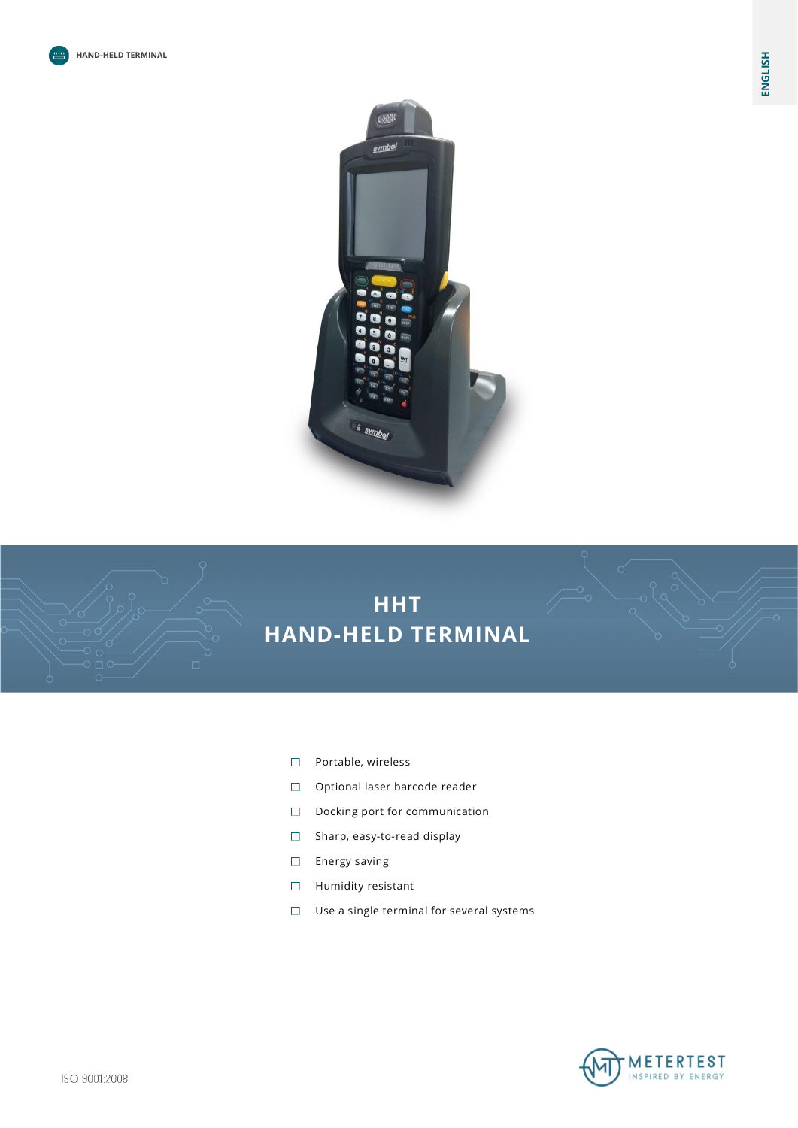



- $\Box$ Portable, wireless
- Optional laser barcode reader
- $\Box$ Docking port for communication
- $\Box$ Sharp, easy-to-read display
- Energy saving  $\Box$
- Humidity resistant  $\Box$
- Use a single terminal for several systems